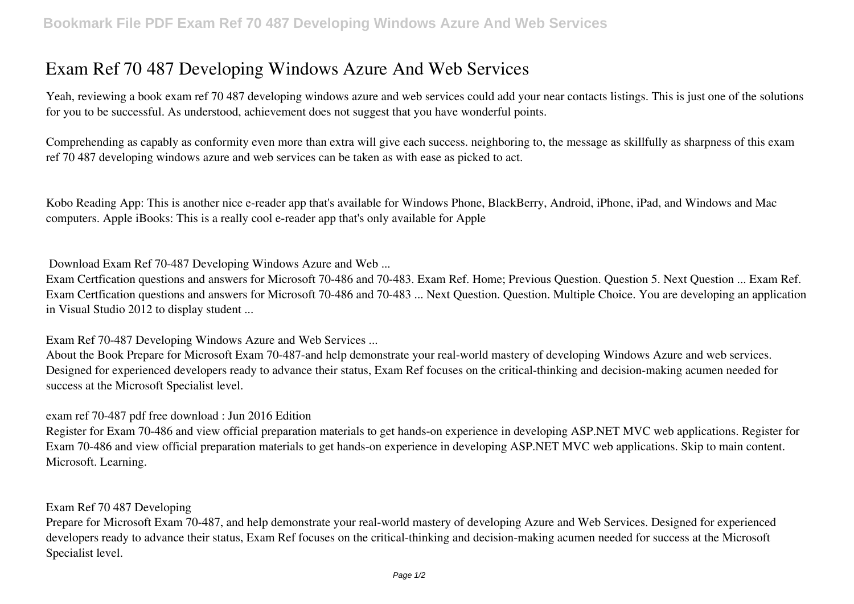## **Exam Ref 70 487 Developing Windows Azure And Web Services**

Yeah, reviewing a book **exam ref 70 487 developing windows azure and web services** could add your near contacts listings. This is just one of the solutions for you to be successful. As understood, achievement does not suggest that you have wonderful points.

Comprehending as capably as conformity even more than extra will give each success. neighboring to, the message as skillfully as sharpness of this exam ref 70 487 developing windows azure and web services can be taken as with ease as picked to act.

Kobo Reading App: This is another nice e-reader app that's available for Windows Phone, BlackBerry, Android, iPhone, iPad, and Windows and Mac computers. Apple iBooks: This is a really cool e-reader app that's only available for Apple

**Download Exam Ref 70-487 Developing Windows Azure and Web ...**

Exam Certfication questions and answers for Microsoft 70-486 and 70-483. Exam Ref. Home; Previous Question. Question 5. Next Question ... Exam Ref. Exam Certfication questions and answers for Microsoft 70-486 and 70-483 ... Next Question. Question. Multiple Choice. You are developing an application in Visual Studio 2012 to display student ...

**Exam Ref 70-487 Developing Windows Azure and Web Services ...**

About the Book Prepare for Microsoft Exam 70-487-and help demonstrate your real-world mastery of developing Windows Azure and web services. Designed for experienced developers ready to advance their status, Exam Ref focuses on the critical-thinking and decision-making acumen needed for success at the Microsoft Specialist level.

**exam ref 70-487 pdf free download : Jun 2016 Edition**

Register for Exam 70-486 and view official preparation materials to get hands-on experience in developing ASP.NET MVC web applications. Register for Exam 70-486 and view official preparation materials to get hands-on experience in developing ASP.NET MVC web applications. Skip to main content. Microsoft. Learning.

## **Exam Ref 70 487 Developing**

Prepare for Microsoft Exam 70-487, and help demonstrate your real-world mastery of developing Azure and Web Services. Designed for experienced developers ready to advance their status, Exam Ref focuses on the critical-thinking and decision-making acumen needed for success at the Microsoft Specialist level.